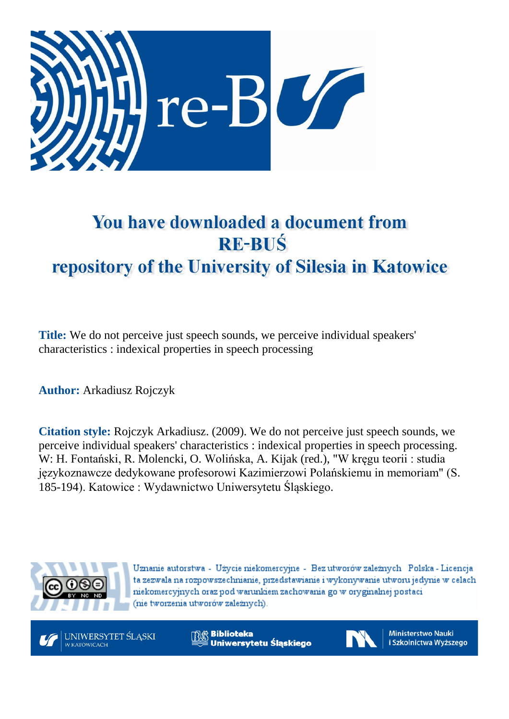

# You have downloaded a document from **RE-BUŚ** repository of the University of Silesia in Katowice

**Title:** We do not perceive just speech sounds, we perceive individual speakers' characteristics : indexical properties in speech processing

**Author:** Arkadiusz Rojczyk

**Citation style:** Rojczyk Arkadiusz. (2009). We do not perceive just speech sounds, we perceive individual speakers' characteristics : indexical properties in speech processing. W: H. [Fontański,](https://integro.ciniba.edu.pl/integro/search/description?q=Fonta%C5%84ski%2C+Henryk+%281947-+%29.+Red&index=2) R. [Molencki, O.](https://integro.ciniba.edu.pl/integro/search/description?q=Molencki%2C+Rafa%C5%82+%281957-+%29.+Red&index=2) [Wolińska,](https://integro.ciniba.edu.pl/integro/search/description?q=Molencki%2C+Rafa%C5%82+%281957-+%29.+Red&index=2) A. [Kijak](https://integro.ciniba.edu.pl/integro/search/description?q=Kijak%2C+Artur.+Red&index=2) [\(red.\),](https://integro.ciniba.edu.pl/integro/search/description?q=Gnat%2C+Tomasz.+Red&index=2) ["](https://integro.ciniba.edu.pl/integro/search/description?q=Gnat%2C+Tomasz.+Red&index=2)W kręgu teorii : studia językoznawcze dedykowane profesorowi Kazimierzowi Polańskiemu in memoriam" (S. 185-194). Katowice : Wydawnictwo Uniwersytetu Śląskiego.



Uznanie autorstwa - Użycie niekomercyjne - Bez utworów zależnych Polska - Licencja ta zezwala na rozpowszechnianie, przedstawianie i wykonywanie utworu jedynie w celach niekomercyjnych oraz pod warunkiem zachowania go w oryginalnej postaci (nie tworzenia utworów zależnych).



**Biblioteka** Uniwersytetu Śląskiego



**Ministerstwo Nauki** i Szkolnictwa Wyższego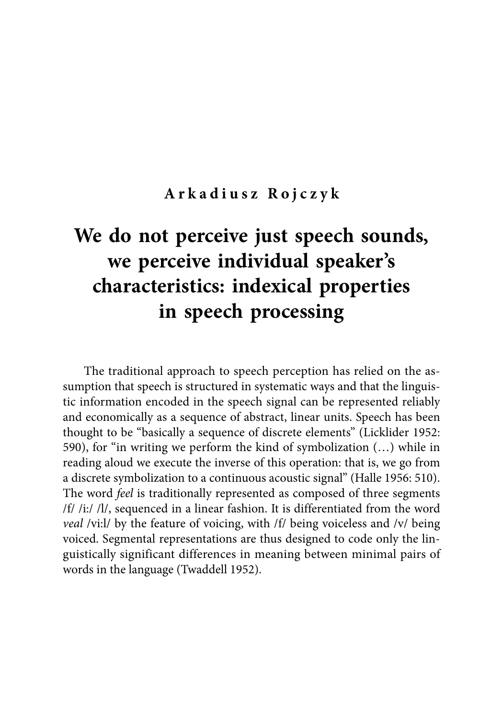#### **Arkadiusz Rojczyk**

## **We do not perceive just speech sounds, we perceive individual speaker's characteristics: indexical properties in speech processing**

The traditional approach to speech perception has relied on the assumption that speech is structured in systematic ways and that the linguistic information encoded in the speech signal can be represented reliably and economically as a sequence of abstract, linear units. Speech has been thought to be "basically a sequence of discrete elements" (Licklider 1952: 590), for "in writing we perform the kind of symbolization (…) while in reading aloud we execute the inverse of this operation: that is, we go from a discrete symbolization to a continuous acoustic signal" (Halle 1956: 510). The word *feel* is traditionally represented as composed of three segments /f/ /i:/ /l/, sequenced in a linear fashion. It is differentiated from the word *veal* /vi:l/ by the feature of voicing, with /f/ being voiceless and /v/ being voiced. Segmental representations are thus designed to code only the linguistically significant differences in meaning between minimal pairs of words in the language (Twaddell 1952).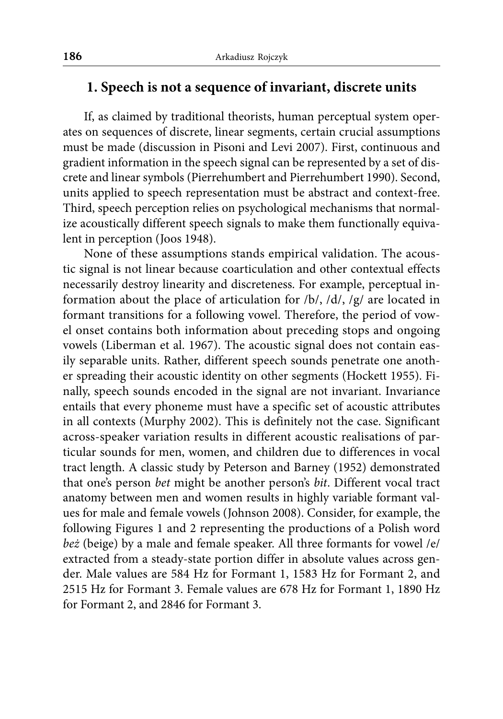#### **1. Speech is not a sequence of invariant, discrete units**

If, as claimed by traditional theorists, human perceptual system operates on sequences of discrete, linear segments, certain crucial assumptions must be made (discussion in Pisoni and Levi 2007). First, continuous and gradient information in the speech signal can be represented by a set of discrete and linear symbols (Pierrehumbert and Pierrehumbert 1990). Second, units applied to speech representation must be abstract and context-free. Third, speech perception relies on psychological mechanisms that normalize acoustically different speech signals to make them functionally equivalent in perception (Joos 1948).

None of these assumptions stands empirical validation. The acoustic signal is not linear because coarticulation and other contextual effects necessarily destroy linearity and discreteness. For example, perceptual information about the place of articulation for /b/, /d/, /g/ are located in formant transitions for a following vowel. Therefore, the period of vowel onset contains both information about preceding stops and ongoing vowels (Liberman et al. 1967). The acoustic signal does not contain easily separable units. Rather, different speech sounds penetrate one another spreading their acoustic identity on other segments (Hockett 1955). Finally, speech sounds encoded in the signal are not invariant. Invariance entails that every phoneme must have a specific set of acoustic attributes in all contexts (Murphy 2002). This is definitely not the case. Significant across-speaker variation results in different acoustic realisations of particular sounds for men, women, and children due to differences in vocal tract length. A classic study by Peterson and Barney (1952) demonstrated that one's person *bet* might be another person's *bit*. Different vocal tract anatomy between men and women results in highly variable formant values for male and female vowels (Johnson 2008). Consider, for example, the following Figures 1 and 2 representing the productions of a Polish word *beż* (beige) by a male and female speaker. All three formants for vowel /e/ extracted from a steady-state portion differ in absolute values across gender. Male values are 584 Hz for Formant 1, 1583 Hz for Formant 2, and 2515 Hz for Formant 3. Female values are 678 Hz for Formant 1, 1890 Hz for Formant 2, and 2846 for Formant 3.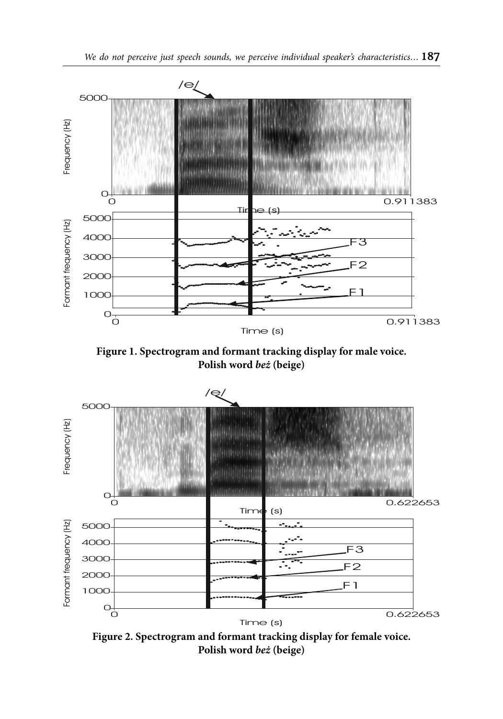

**Figure 1. Spectrogram and formant tracking display for male voice. Polish word** *beż* **(beige)**



**Figure 2. Spectrogram and formant tracking display for female voice. Polish word** *beż* **(beige)**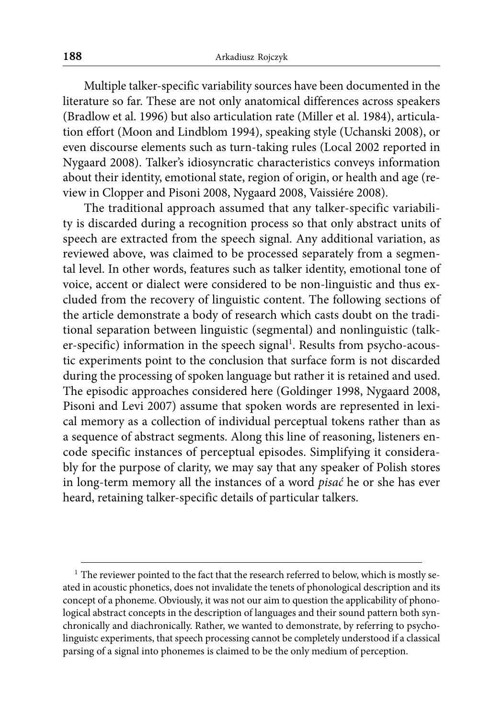Multiple talker-specific variability sources have been documented in the literature so far. These are not only anatomical differences across speakers (Bradlow et al. 1996) but also articulation rate (Miller et al. 1984), articulation effort (Moon and Lindblom 1994), speaking style (Uchanski 2008), or even discourse elements such as turn-taking rules (Local 2002 reported in Nygaard 2008). Talker's idiosyncratic characteristics conveys information about their identity, emotional state, region of origin, or health and age (review in Clopper and Pisoni 2008, Nygaard 2008, Vaissiére 2008).

The traditional approach assumed that any talker-specific variability is discarded during a recognition process so that only abstract units of speech are extracted from the speech signal. Any additional variation, as reviewed above, was claimed to be processed separately from a segmental level. In other words, features such as talker identity, emotional tone of voice, accent or dialect were considered to be non-linguistic and thus excluded from the recovery of linguistic content. The following sections of the article demonstrate a body of research which casts doubt on the traditional separation between linguistic (segmental) and nonlinguistic (talker-specific) information in the speech signal<sup>1</sup>. Results from psycho-acoustic experiments point to the conclusion that surface form is not discarded during the processing of spoken language but rather it is retained and used. The episodic approaches considered here (Goldinger 1998, Nygaard 2008, Pisoni and Levi 2007) assume that spoken words are represented in lexical memory as a collection of individual perceptual tokens rather than as a sequence of abstract segments. Along this line of reasoning, listeners encode specific instances of perceptual episodes. Simplifying it considerably for the purpose of clarity, we may say that any speaker of Polish stores in long-term memory all the instances of a word *pisać* he or she has ever heard, retaining talker-specific details of particular talkers.

<sup>&</sup>lt;sup>1</sup> The reviewer pointed to the fact that the research referred to below, which is mostly seated in acoustic phonetics, does not invalidate the tenets of phonological description and its concept of a phoneme. Obviously, it was not our aim to question the applicability of phonological abstract concepts in the description of languages and their sound pattern both synchronically and diachronically. Rather, we wanted to demonstrate, by referring to psycholinguistc experiments, that speech processing cannot be completely understood if a classical parsing of a signal into phonemes is claimed to be the only medium of perception.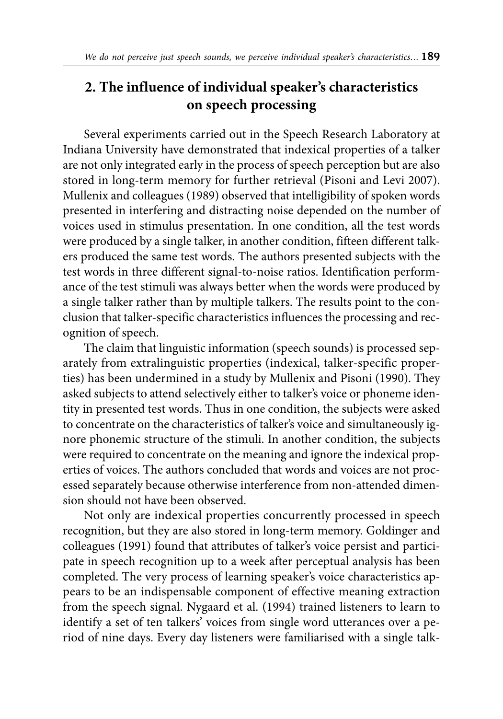### **2. The influence of individual speaker's characteristics on speech processing**

Several experiments carried out in the Speech Research Laboratory at Indiana University have demonstrated that indexical properties of a talker are not only integrated early in the process of speech perception but are also stored in long-term memory for further retrieval (Pisoni and Levi 2007). Mullenix and colleagues (1989) observed that intelligibility of spoken words presented in interfering and distracting noise depended on the number of voices used in stimulus presentation. In one condition, all the test words were produced by a single talker, in another condition, fifteen different talkers produced the same test words. The authors presented subjects with the test words in three different signal-to-noise ratios. Identification performance of the test stimuli was always better when the words were produced by a single talker rather than by multiple talkers. The results point to the conclusion that talker-specific characteristics influences the processing and recognition of speech.

The claim that linguistic information (speech sounds) is processed separately from extralinguistic properties (indexical, talker-specific properties) has been undermined in a study by Mullenix and Pisoni (1990). They asked subjects to attend selectively either to talker's voice or phoneme identity in presented test words. Thus in one condition, the subjects were asked to concentrate on the characteristics of talker's voice and simultaneously ignore phonemic structure of the stimuli. In another condition, the subjects were required to concentrate on the meaning and ignore the indexical properties of voices. The authors concluded that words and voices are not processed separately because otherwise interference from non-attended dimension should not have been observed.

Not only are indexical properties concurrently processed in speech recognition, but they are also stored in long-term memory. Goldinger and colleagues (1991) found that attributes of talker's voice persist and participate in speech recognition up to a week after perceptual analysis has been completed. The very process of learning speaker's voice characteristics appears to be an indispensable component of effective meaning extraction from the speech signal. Nygaard et al. (1994) trained listeners to learn to identify a set of ten talkers' voices from single word utterances over a period of nine days. Every day listeners were familiarised with a single talk-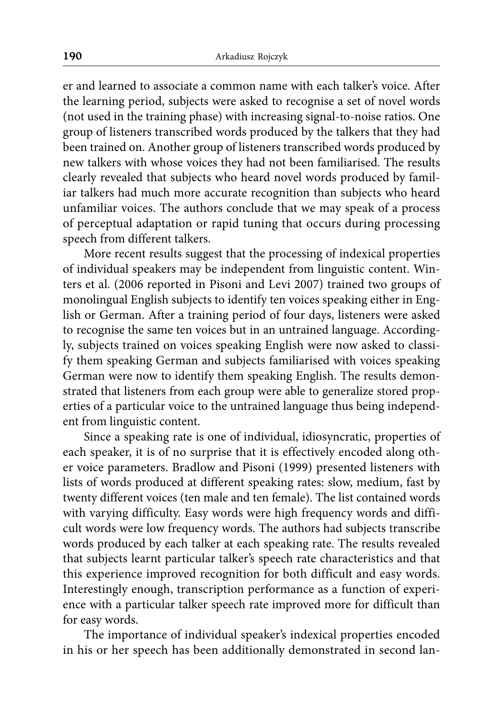er and learned to associate a common name with each talker's voice. After the learning period, subjects were asked to recognise a set of novel words (not used in the training phase) with increasing signal-to-noise ratios. One group of listeners transcribed words produced by the talkers that they had been trained on. Another group of listeners transcribed words produced by new talkers with whose voices they had not been familiarised. The results clearly revealed that subjects who heard novel words produced by familiar talkers had much more accurate recognition than subjects who heard unfamiliar voices. The authors conclude that we may speak of a process of perceptual adaptation or rapid tuning that occurs during processing speech from different talkers.

More recent results suggest that the processing of indexical properties of individual speakers may be independent from linguistic content. Winters et al. (2006 reported in Pisoni and Levi 2007) trained two groups of monolingual English subjects to identify ten voices speaking either in English or German. After a training period of four days, listeners were asked to recognise the same ten voices but in an untrained language. Accordingly, subjects trained on voices speaking English were now asked to classify them speaking German and subjects familiarised with voices speaking German were now to identify them speaking English. The results demonstrated that listeners from each group were able to generalize stored properties of a particular voice to the untrained language thus being independent from linguistic content.

Since a speaking rate is one of individual, idiosyncratic, properties of each speaker, it is of no surprise that it is effectively encoded along other voice parameters. Bradlow and Pisoni (1999) presented listeners with lists of words produced at different speaking rates: slow, medium, fast by twenty different voices (ten male and ten female). The list contained words with varying difficulty. Easy words were high frequency words and difficult words were low frequency words. The authors had subjects transcribe words produced by each talker at each speaking rate. The results revealed that subjects learnt particular talker's speech rate characteristics and that this experience improved recognition for both difficult and easy words. Interestingly enough, transcription performance as a function of experience with a particular talker speech rate improved more for difficult than for easy words.

The importance of individual speaker's indexical properties encoded in his or her speech has been additionally demonstrated in second lan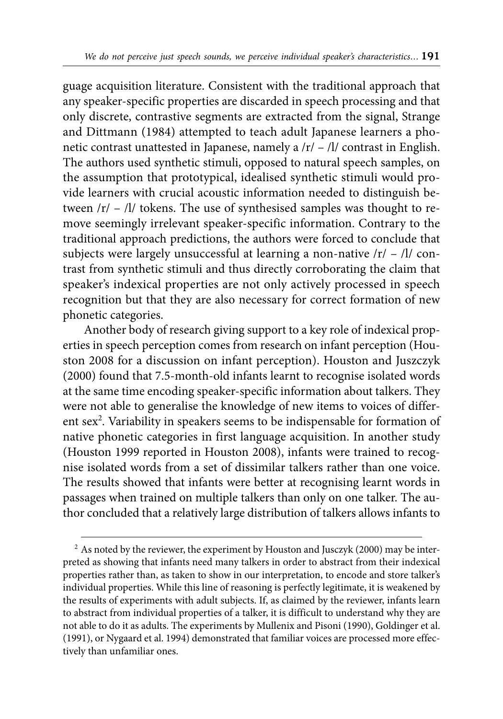guage acquisition literature. Consistent with the traditional approach that any speaker-specific properties are discarded in speech processing and that only discrete, contrastive segments are extracted from the signal, Strange and Dittmann (1984) attempted to teach adult Japanese learners a phonetic contrast unattested in Japanese, namely a /r/ – /l/ contrast in English. The authors used synthetic stimuli, opposed to natural speech samples, on the assumption that prototypical, idealised synthetic stimuli would provide learners with crucial acoustic information needed to distinguish between /r/ – /l/ tokens. The use of synthesised samples was thought to remove seemingly irrelevant speaker-specific information. Contrary to the traditional approach predictions, the authors were forced to conclude that subjects were largely unsuccessful at learning a non-native  $|r| - |1|$  contrast from synthetic stimuli and thus directly corroborating the claim that speaker's indexical properties are not only actively processed in speech recognition but that they are also necessary for correct formation of new phonetic categories.

Another body of research giving support to a key role of indexical properties in speech perception comes from research on infant perception (Houston 2008 for a discussion on infant perception). Houston and Juszczyk (2000) found that 7.5-month-old infants learnt to recognise isolated words at the same time encoding speaker-specific information about talkers. They were not able to generalise the knowledge of new items to voices of different sex<sup>2</sup>. Variability in speakers seems to be indispensable for formation of native phonetic categories in first language acquisition. In another study (Houston 1999 reported in Houston 2008), infants were trained to recognise isolated words from a set of dissimilar talkers rather than one voice. The results showed that infants were better at recognising learnt words in passages when trained on multiple talkers than only on one talker. The author concluded that a relatively large distribution of talkers allows infants to

 $2$  As noted by the reviewer, the experiment by Houston and Jusczyk (2000) may be interpreted as showing that infants need many talkers in order to abstract from their indexical properties rather than, as taken to show in our interpretation, to encode and store talker's individual properties. While this line of reasoning is perfectly legitimate, it is weakened by the results of experiments with adult subjects. If, as claimed by the reviewer, infants learn to abstract from individual properties of a talker, it is difficult to understand why they are not able to do it as adults. The experiments by Mullenix and Pisoni (1990), Goldinger et al. (1991), or Nygaard et al. 1994) demonstrated that familiar voices are processed more effectively than unfamiliar ones.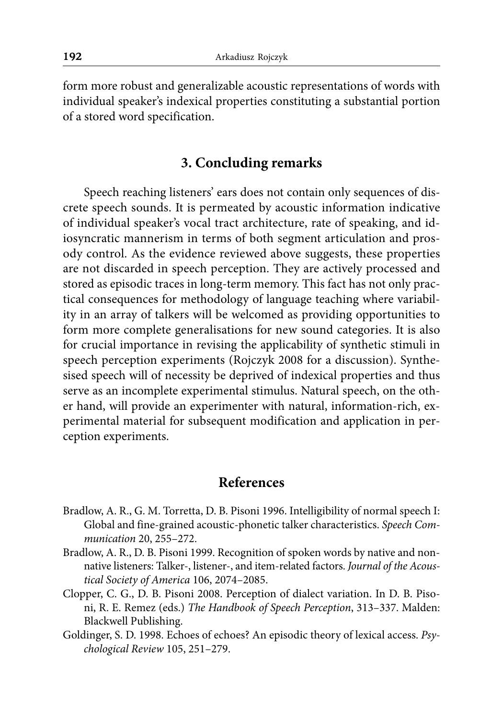form more robust and generalizable acoustic representations of words with individual speaker's indexical properties constituting a substantial portion of a stored word specification.

#### **3. Concluding remarks**

Speech reaching listeners' ears does not contain only sequences of discrete speech sounds. It is permeated by acoustic information indicative of individual speaker's vocal tract architecture, rate of speaking, and idiosyncratic mannerism in terms of both segment articulation and prosody control. As the evidence reviewed above suggests, these properties are not discarded in speech perception. They are actively processed and stored as episodic traces in long-term memory. This fact has not only practical consequences for methodology of language teaching where variability in an array of talkers will be welcomed as providing opportunities to form more complete generalisations for new sound categories. It is also for crucial importance in revising the applicability of synthetic stimuli in speech perception experiments (Rojczyk 2008 for a discussion). Synthesised speech will of necessity be deprived of indexical properties and thus serve as an incomplete experimental stimulus. Natural speech, on the other hand, will provide an experimenter with natural, information-rich, experimental material for subsequent modification and application in perception experiments.

#### **References**

- Bradlow, A. R., G. M. Torretta, D. B. Pisoni 1996. Intelligibility of normal speech I: Global and fine-grained acoustic-phonetic talker characteristics. *Speech Communication* 20, 255–272.
- Bradlow, A. R., D. B. Pisoni 1999. Recognition of spoken words by native and nonnative listeners: Talker-, listener-, and item-related factors. *Journal of the Acoustical Society of America* 106, 2074–2085.
- Clopper, C. G., D. B. Pisoni 2008. Perception of dialect variation. In D. B. Pisoni, R. E. Remez (eds.) *The Handbook of Speech Perception*, 313–337. Malden: Blackwell Publishing.
- Goldinger, S. D. 1998. Echoes of echoes? An episodic theory of lexical access. *Psychological Review* 105, 251–279.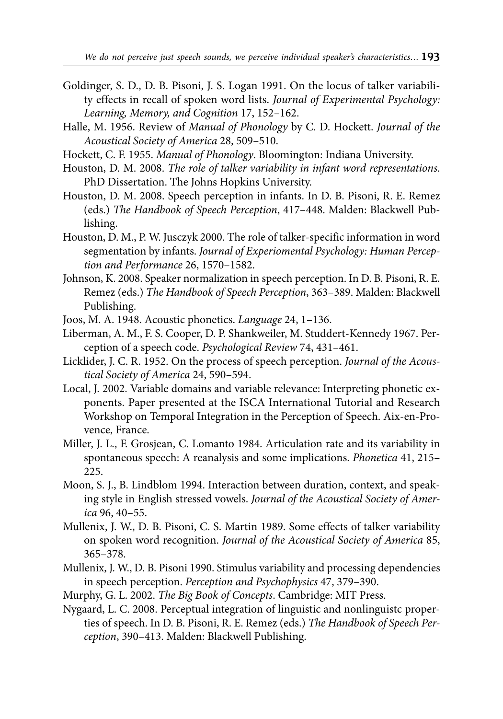- Goldinger, S. D., D. B. Pisoni, J. S. Logan 1991. On the locus of talker variability effects in recall of spoken word lists. *Journal of Experimental Psychology: Learning, Memory, and Cognition* 17, 152–162.
- Halle, M. 1956. Review of *Manual of Phonology* by C. D. Hockett. *Journal of the Acoustical Society of America* 28, 509–510.
- Hockett, C. F. 1955. *Manual of Phonology*. Bloomington: Indiana University.
- Houston, D. M. 2008. *The role of talker variability in infant word representations*. PhD Dissertation. The Johns Hopkins University.
- Houston, D. M. 2008. Speech perception in infants. In D. B. Pisoni, R. E. Remez (eds.) *The Handbook of Speech Perception*, 417–448. Malden: Blackwell Publishing.
- Houston, D. M., P. W. Jusczyk 2000. The role of talker-specific information in word segmentation by infants. *Journal of Experiomental Psychology: Human Perception and Performance* 26, 1570–1582.
- Johnson, K. 2008. Speaker normalization in speech perception. In D. B. Pisoni, R. E. Remez (eds.) *The Handbook of Speech Perception*, 363–389. Malden: Blackwell Publishing.
- Joos, M. A. 1948. Acoustic phonetics. *Language* 24, 1–136.
- Liberman, A. M., F. S. Cooper, D. P. Shankweiler, M. Studdert-Kennedy 1967. Perception of a speech code. *Psychological Review* 74, 431–461.
- Licklider, J. C. R. 1952. On the process of speech perception. *Journal of the Acoustical Society of America* 24, 590–594.
- Local, J. 2002. Variable domains and variable relevance: Interpreting phonetic exponents. Paper presented at the ISCA International Tutorial and Research Workshop on Temporal Integration in the Perception of Speech. Aix-en-Provence, France.
- Miller, J. L., F. Grosjean, C. Lomanto 1984. Articulation rate and its variability in spontaneous speech: A reanalysis and some implications. *Phonetica* 41, 215– 225.
- Moon, S. J., B. Lindblom 1994. Interaction between duration, context, and speaking style in English stressed vowels. *Journal of the Acoustical Society of America* 96, 40–55.
- Mullenix, J. W., D. B. Pisoni, C. S. Martin 1989. Some effects of talker variability on spoken word recognition. *Journal of the Acoustical Society of America* 85, 365–378.
- Mullenix, J. W., D. B. Pisoni 1990. Stimulus variability and processing dependencies in speech perception. *Perception and Psychophysics* 47, 379–390.
- Murphy, G. L. 2002. *The Big Book of Concepts*. Cambridge: MIT Press.
- Nygaard, L. C. 2008. Perceptual integration of linguistic and nonlinguistc properties of speech. In D. B. Pisoni, R. E. Remez (eds.) *The Handbook of Speech Perception*, 390–413. Malden: Blackwell Publishing.